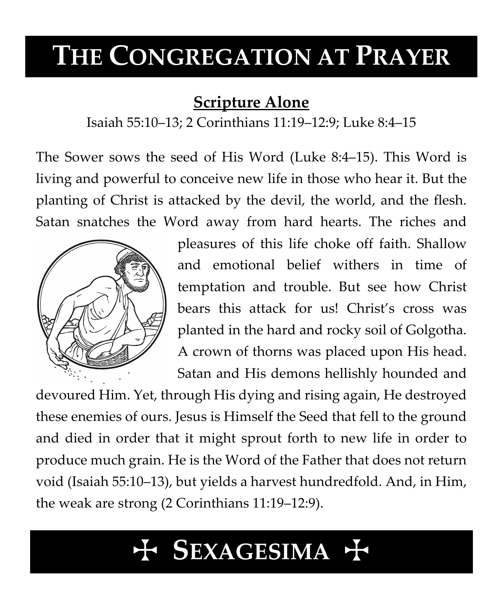# **THE CONGREGATION AT PRAYER**

# **Scripture Alone**

Isaiah 55:10–13; 2 Corinthians 11:19–12:9; Luke 8:4–15

The Sower sows the seed of His Word (Luke 8:4–15). This Word is living and powerful to conceive new life in those who hear it. But the planting of Christ is attacked by the devil, the world, and the flesh. Satan snatches the Word away from hard hearts. The riches and



pleasures of this life choke off faith. Shallow and emotional belief withers in time of temptation and trouble. But see how Christ bears this attack for us! Christ's cross was planted in the hard and rocky soil of Golgotha. A crown of thorns was placed upon His head. Satan and His demons hellishly hounded and

devoured Him. Yet, through His dying and rising again, He destroyed these enemies of ours. Jesus is Himself the Seed that fell to the ground and died in order that it might sprout forth to new life in order to produce much grain. He is the Word of the Father that does not return void (Isaiah 55:10–13), but yields a harvest hundredfold. And, in Him, the weak are strong (2 Corinthians 11:19–12:9).

# T **SEXAGESIMA** T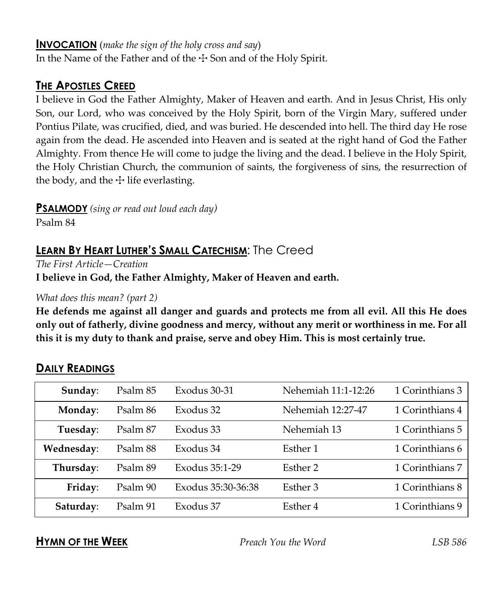#### **INVOCATION** (*make the sign of the holy cross and say*)

In the Name of the Father and of the  $\pm$  Son and of the Holy Spirit.

## **THE APOSTLES CREED**

I believe in God the Father Almighty, Maker of Heaven and earth. And in Jesus Christ, His only Son, our Lord, who was conceived by the Holy Spirit, born of the Virgin Mary, suffered under Pontius Pilate, was crucified, died, and was buried. He descended into hell. The third day He rose again from the dead. He ascended into Heaven and is seated at the right hand of God the Father Almighty. From thence He will come to judge the living and the dead. I believe in the Holy Spirit, the Holy Christian Church, the communion of saints, the forgiveness of sins, the resurrection of the body, and the  $\pm$  life everlasting.

**PSALMODY** *(sing or read out loud each day)*

Psalm 84

# **LEARN BY HEART LUTHER'S SMALL CATECHISM**: The Creed

*The First Article—Creation*

**I believe in God, the Father Almighty, Maker of Heaven and earth.**

*What does this mean? (part 2)*

**He defends me against all danger and guards and protects me from all evil. All this He does only out of fatherly, divine goodness and mercy, without any merit or worthiness in me. For all this it is my duty to thank and praise, serve and obey Him. This is most certainly true.**

| Sunday:    | Psalm 85 | Exodus 30-31          | Nehemiah 11:1-12:26 | 1 Corinthians 3 |
|------------|----------|-----------------------|---------------------|-----------------|
| Monday:    | Psalm 86 | Exodus 32             | Nehemiah 12:27-47   | 1 Corinthians 4 |
| Tuesday:   | Psalm 87 | Exodus 33             | Nehemiah 13         | 1 Corinthians 5 |
| Wednesday: | Psalm 88 | Exodus 34             | Esther 1            | 1 Corinthians 6 |
| Thursday:  | Psalm 89 | Exodus 35:1-29        | Esther 2            | 1 Corinthians 7 |
| Friday:    | Psalm 90 | Exodus 35:30-36:38    | Esther 3            | 1 Corinthians 8 |
| Saturday:  | Psalm 91 | Exodus 37<br>Esther 4 |                     | 1 Corinthians 9 |

# **DAILY READINGS**

**HYMN OF THE WEEK** *Preach You the Word LSB 586*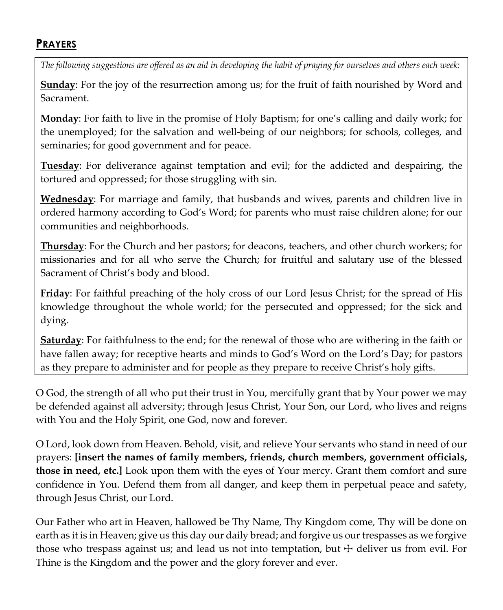### **PRAYERS**

*The following suggestions are offered as an aid in developing the habit of praying for ourselves and others each week:*

**Sunday**: For the joy of the resurrection among us; for the fruit of faith nourished by Word and Sacrament.

**Monday**: For faith to live in the promise of Holy Baptism; for one's calling and daily work; for the unemployed; for the salvation and well-being of our neighbors; for schools, colleges, and seminaries; for good government and for peace.

**Tuesday**: For deliverance against temptation and evil; for the addicted and despairing, the tortured and oppressed; for those struggling with sin.

**Wednesday**: For marriage and family, that husbands and wives, parents and children live in ordered harmony according to God's Word; for parents who must raise children alone; for our communities and neighborhoods.

**Thursday**: For the Church and her pastors; for deacons, teachers, and other church workers; for missionaries and for all who serve the Church; for fruitful and salutary use of the blessed Sacrament of Christ's body and blood.

**Friday**: For faithful preaching of the holy cross of our Lord Jesus Christ; for the spread of His knowledge throughout the whole world; for the persecuted and oppressed; for the sick and dying.

**Saturday**: For faithfulness to the end; for the renewal of those who are withering in the faith or have fallen away; for receptive hearts and minds to God's Word on the Lord's Day; for pastors as they prepare to administer and for people as they prepare to receive Christ's holy gifts.

O God, the strength of all who put their trust in You, mercifully grant that by Your power we may be defended against all adversity; through Jesus Christ, Your Son, our Lord, who lives and reigns with You and the Holy Spirit, one God, now and forever.

O Lord, look down from Heaven. Behold, visit, and relieve Your servants who stand in need of our prayers: **[insert the names of family members, friends, church members, government officials, those in need, etc.]** Look upon them with the eyes of Your mercy. Grant them comfort and sure confidence in You. Defend them from all danger, and keep them in perpetual peace and safety, through Jesus Christ, our Lord.

Our Father who art in Heaven, hallowed be Thy Name, Thy Kingdom come, Thy will be done on earth as it is in Heaven; give us this day our daily bread; and forgive us our trespasses as we forgive those who trespass against us; and lead us not into temptation, but  $\pm$  deliver us from evil. For Thine is the Kingdom and the power and the glory forever and ever.